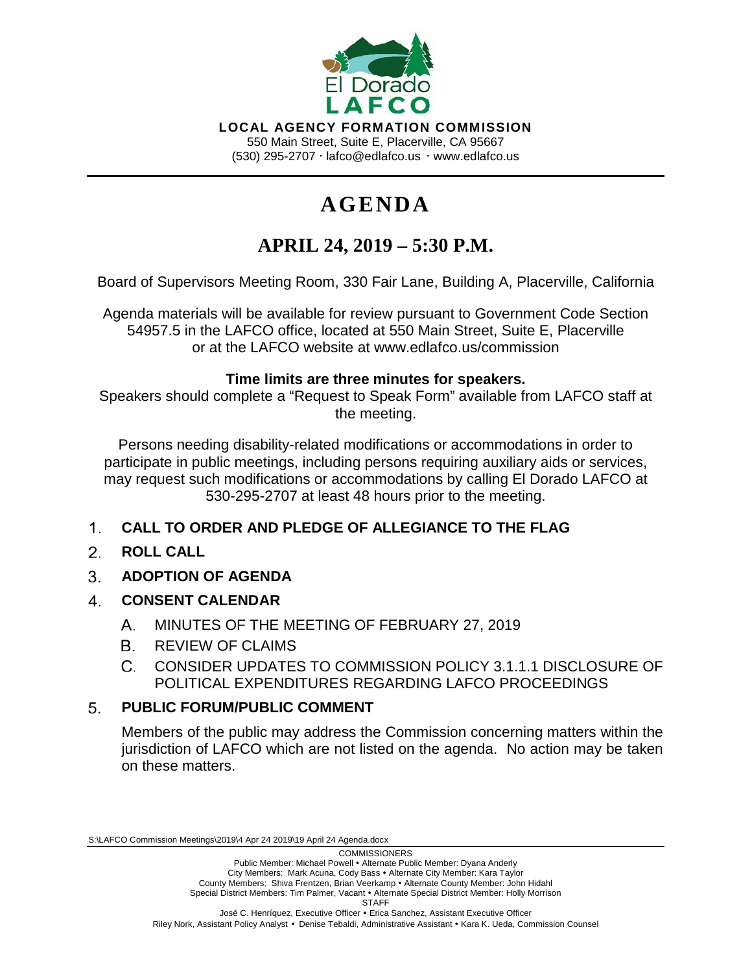

**LOCAL AGENCY FORMATION COMMISSION** 550 Main Street, Suite E, Placerville, CA 95667 (530) 295-2707  $\cdot$  lafco@edlafco.us  $\cdot$  www.edlafco.us

# **AGENDA**

## **APRIL 24, 2019 – 5:30 P.M.**

Board of Supervisors Meeting Room, 330 Fair Lane, Building A, Placerville, California

Agenda materials will be available for review pursuant to Government Code Section 54957.5 in the LAFCO office, located at 550 Main Street, Suite E, Placerville or at the LAFCO website at www.edlafco.us/commission

## **Time limits are three minutes for speakers.**

Speakers should complete a "Request to Speak Form" available from LAFCO staff at the meeting.

Persons needing disability-related modifications or accommodations in order to participate in public meetings, including persons requiring auxiliary aids or services, may request such modifications or accommodations by calling El Dorado LAFCO at 530-295-2707 at least 48 hours prior to the meeting.

#### $1<sub>1</sub>$ **CALL TO ORDER AND PLEDGE OF ALLEGIANCE TO THE FLAG**

- $2^{\circ}$ **ROLL CALL**
- $3<sub>1</sub>$ **ADOPTION OF AGENDA**
- $\overline{4}$ **CONSENT CALENDAR**
	- MINUTES OF THE MEETING OF FEBRUARY 27, 2019  $A_{1}$
	- R REVIEW OF CLAIMS
	- CONSIDER UPDATES TO COMMISSION POLICY 3.1.1.1 DISCLOSURE OF  $C_{\cdot}$ POLITICAL EXPENDITURES REGARDING LAFCO PROCEEDINGS

#### **PUBLIC FORUM/PUBLIC COMMENT** 5.

Members of the public may address the Commission concerning matters within the jurisdiction of LAFCO which are not listed on the agenda. No action may be taken on these matters.

S:\LAFCO Commission Meetings\2019\4 Apr 24 2019\19 April 24 Agenda.docx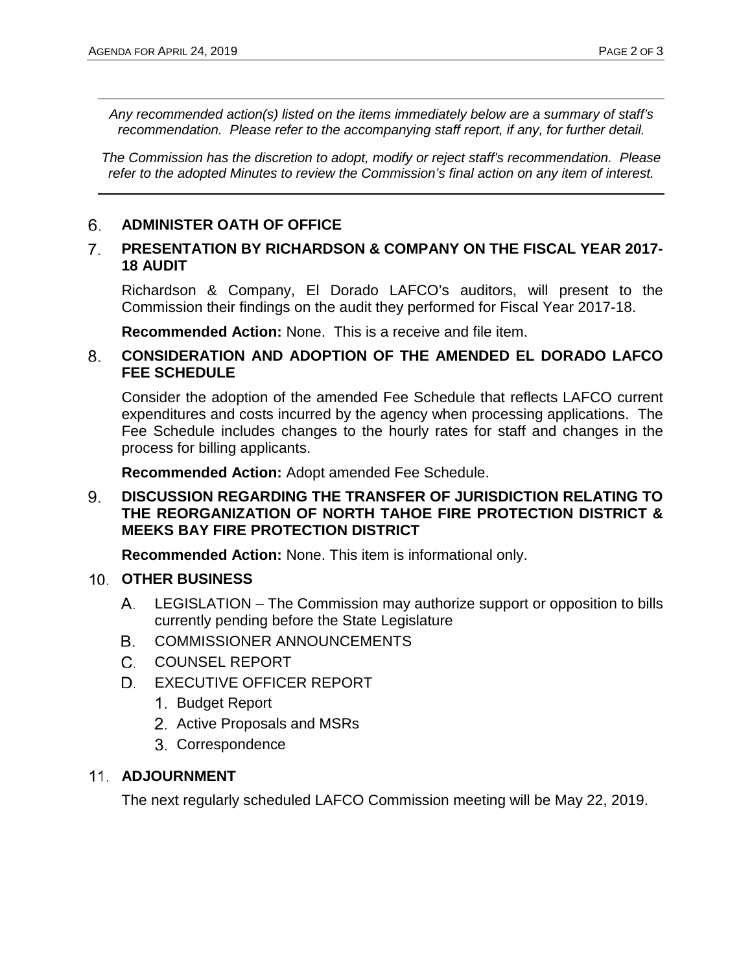*Any recommended action(s) listed on the items immediately below are a summary of staff's recommendation. Please refer to the accompanying staff report, if any, for further detail.* 

*The Commission has the discretion to adopt, modify or reject staff's recommendation. Please refer to the adopted Minutes to review the Commission's final action on any item of interest.*

#### 6. **ADMINISTER OATH OF OFFICE**

#### $7<sup>1</sup>$ **PRESENTATION BY RICHARDSON & COMPANY ON THE FISCAL YEAR 2017- 18 AUDIT**

Richardson & Company, El Dorado LAFCO's auditors, will present to the Commission their findings on the audit they performed for Fiscal Year 2017-18.

**Recommended Action:** None. This is a receive and file item.

#### 8. **CONSIDERATION AND ADOPTION OF THE AMENDED EL DORADO LAFCO FEE SCHEDULE**

Consider the adoption of the amended Fee Schedule that reflects LAFCO current expenditures and costs incurred by the agency when processing applications. The Fee Schedule includes changes to the hourly rates for staff and changes in the process for billing applicants.

**Recommended Action:** Adopt amended Fee Schedule.

### 9. **DISCUSSION REGARDING THE TRANSFER OF JURISDICTION RELATING TO THE REORGANIZATION OF NORTH TAHOE FIRE PROTECTION DISTRICT & MEEKS BAY FIRE PROTECTION DISTRICT**

**Recommended Action:** None. This item is informational only.

### 10. **OTHER BUSINESS**

- LEGISLATION The Commission may authorize support or opposition to bills А. currently pending before the State Legislature
- COMMISSIONER ANNOUNCEMENTS В.
- $C_{-}$ COUNSEL REPORT
- D. EXECUTIVE OFFICER REPORT
	- 1. Budget Report
	- 2. Active Proposals and MSRs
	- 3. Correspondence

## **ADJOURNMENT**

The next regularly scheduled LAFCO Commission meeting will be May 22, 2019.